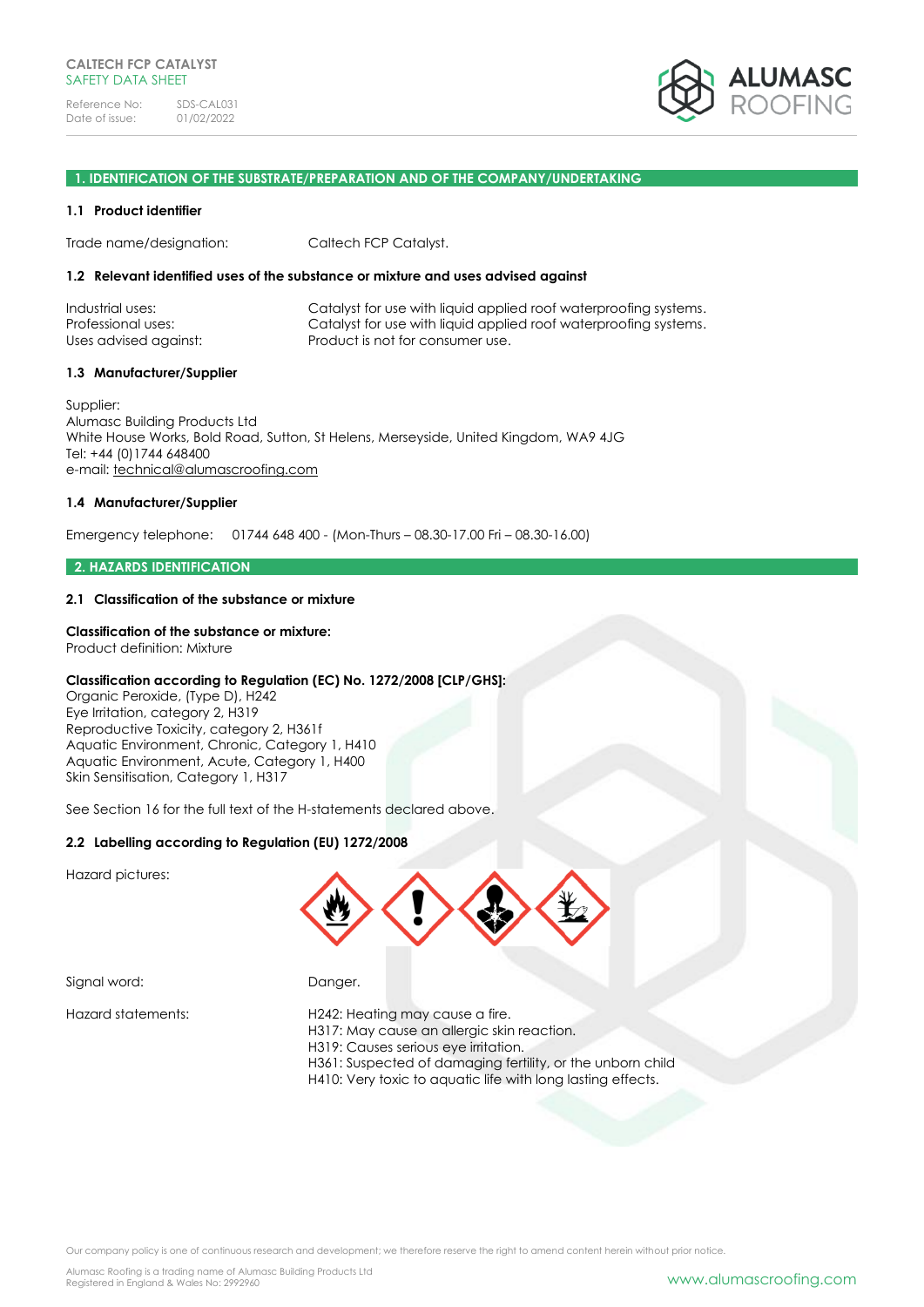

#### **1. IDENTIFICATION OF THE SUBSTRATE/PREPARATION AND OF THE COMPANY/UNDERTAKING**

#### **1.1 Product identifier**

Trade name/designation: Caltech FCP Catalyst.

#### **1.2 Relevant identified uses of the substance or mixture and uses advised against**

| Industrial uses:      | Catalyst for use with liquid applied roof waterproofing systems. |
|-----------------------|------------------------------------------------------------------|
| Professional uses:    | Catalyst for use with liquid applied roof waterproofing systems. |
| Uses advised against: | Product is not for consumer use.                                 |

#### **1.3 Manufacturer/Supplier**

Supplier: Alumasc Building Products Ltd White House Works, Bold Road, Sutton, St Helens, Merseyside, United Kingdom, WA9 4JG Tel: +44 (0)1744 648400 e-mail: [technical@alumascroofing.com](mailto:technical@alumascroofing.com)

#### **1.4 Manufacturer/Supplier**

Emergency telephone: 01744 648 400 - (Mon-Thurs – 08.30-17.00 Fri – 08.30-16.00)

#### **2. HAZARDS IDENTIFICATION**

### **2.1 Classification of the substance or mixture**

## **Classification of the substance or mixture:**

Product definition: Mixture

### **Classification according to Regulation (EC) No. 1272/2008 [CLP/GHS]:**

Organic Peroxide, (Type D), H242 Eye Irritation, category 2, H319 Reproductive Toxicity, category 2, H361f Aquatic Environment, Chronic, Category 1, H410 Aquatic Environment, Acute, Category 1, H400 Skin Sensitisation, Category 1, H317

See Section 16 for the full text of the H-statements declared above.

## **2.2 Labelling according to Regulation (EU) 1272/2008**

Hazard pictures:



Signal word: Danger.

#### Hazard statements: H242: Heating may cause a fire.

- H317: May cause an allergic skin reaction.
- H319: Causes serious eye irritation.
- H361: Suspected of damaging fertility, or the unborn child
- H410: Very toxic to aquatic life with long lasting effects.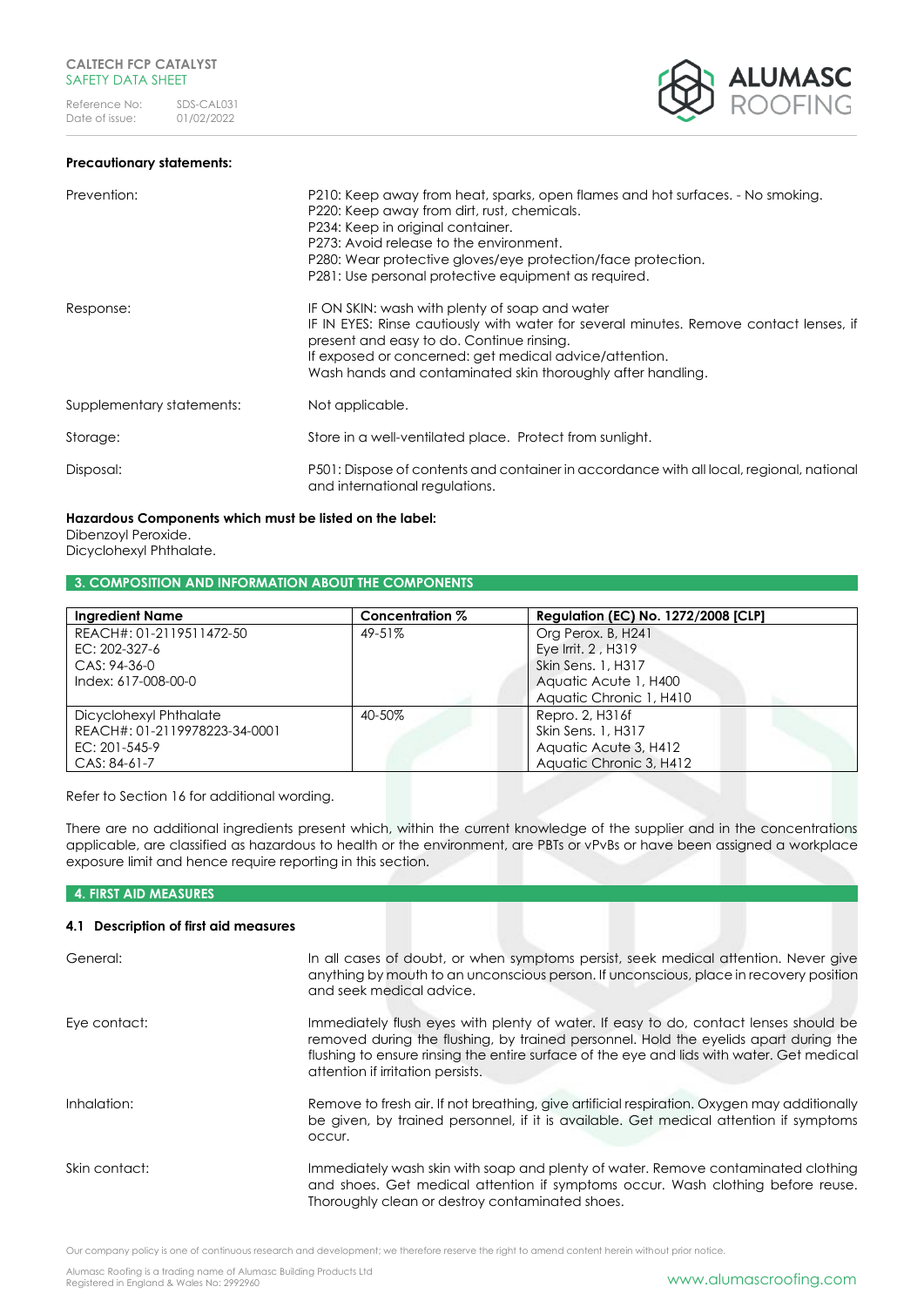



| Prevention:               | P210: Keep away from heat, sparks, open flames and hot surfaces. - No smoking.<br>P220: Keep away from dirt, rust, chemicals.<br>P234: Keep in original container.<br>P273: Avoid release to the environment.<br>P280: Wear protective gloves/eye protection/face protection.<br>P281: Use personal protective equipment as required. |
|---------------------------|---------------------------------------------------------------------------------------------------------------------------------------------------------------------------------------------------------------------------------------------------------------------------------------------------------------------------------------|
| Response:                 | IF ON SKIN: wash with plenty of soap and water<br>IF IN EYES: Rinse cautiously with water for several minutes. Remove contact lenses, if<br>present and easy to do. Continue rinsing.<br>If exposed or concerned: get medical advice/attention.<br>Wash hands and contaminated skin thoroughly after handling.                        |
| Supplementary statements: | Not applicable.                                                                                                                                                                                                                                                                                                                       |
| Storage:                  | Store in a well-ventilated place. Protect from sunlight.                                                                                                                                                                                                                                                                              |
| Disposal:                 | P501: Dispose of contents and container in accordance with all local, regional, national<br>and international regulations.                                                                                                                                                                                                            |

#### **Hazardous Components which must be listed on the label:**  Dibenzoyl Peroxide.

Dicyclohexyl Phthalate.

### **3. COMPOSITION AND INFORMATION ABOUT THE COMPONENTS**

| <b>Ingredient Name</b>        | Concentration % | <b>Regulation (EC) No. 1272/2008 [CLP]</b> |
|-------------------------------|-----------------|--------------------------------------------|
| REACH#: 01-2119511472-50      | 49-51%          | Org Perox. B, H241                         |
| EC: 202-327-6                 |                 | Eye Irrit, 2, H319                         |
| CAS: 94-36-0                  |                 | Skin Sens. 1, H317                         |
| Index: 617-008-00-0           |                 | Aquatic Acute 1, H400                      |
|                               |                 | Aquatic Chronic 1, H410                    |
| Dicyclohexyl Phthalate        | 40-50%          | Repro. 2, H316f                            |
| REACH#: 01-2119978223-34-0001 |                 | Skin Sens. 1, H317                         |
| EC: 201-545-9                 |                 | Aquatic Acute 3, H412                      |
| CAS: 84-61-7                  |                 | Aquatic Chronic 3, H412                    |

Refer to Section 16 for additional wording.

There are no additional ingredients present which, within the current knowledge of the supplier and in the concentrations applicable, are classified as hazardous to health or the environment, are PBTs or vPvBs or have been assigned a workplace exposure limit and hence require reporting in this section.

### **4. FIRST AID MEASURES**

## **4.1 Description of first aid measures**

| General:      | In all cases of doubt, or when symptoms persist, seek medical attention. Never give<br>anything by mouth to an unconscious person. If unconscious, place in recovery position<br>and seek medical advice.                                                                                                      |
|---------------|----------------------------------------------------------------------------------------------------------------------------------------------------------------------------------------------------------------------------------------------------------------------------------------------------------------|
| Eye contact:  | Immediately flush eyes with plenty of water. If easy to do, contact lenses should be<br>removed during the flushing, by trained personnel. Hold the eyelids apart during the<br>flushing to ensure rinsing the entire surface of the eye and lids with water. Get medical<br>attention if irritation persists. |
| Inhalation:   | Remove to fresh air. If not breathing, give artificial respiration. Oxygen may additionally<br>be given, by trained personnel, if it is available. Get medical attention if symptoms<br>occur.                                                                                                                 |
| Skin contact: | Immediately wash skin with soap and plenty of water. Remove contaminated clothing<br>and shoes. Get medical attention if symptoms occur. Wash clothing before reuse.<br>Thoroughly clean or destroy contaminated shoes.                                                                                        |

Our company policy is one of continuous research and development; we therefore reserve the right to amend content herein without prior notice.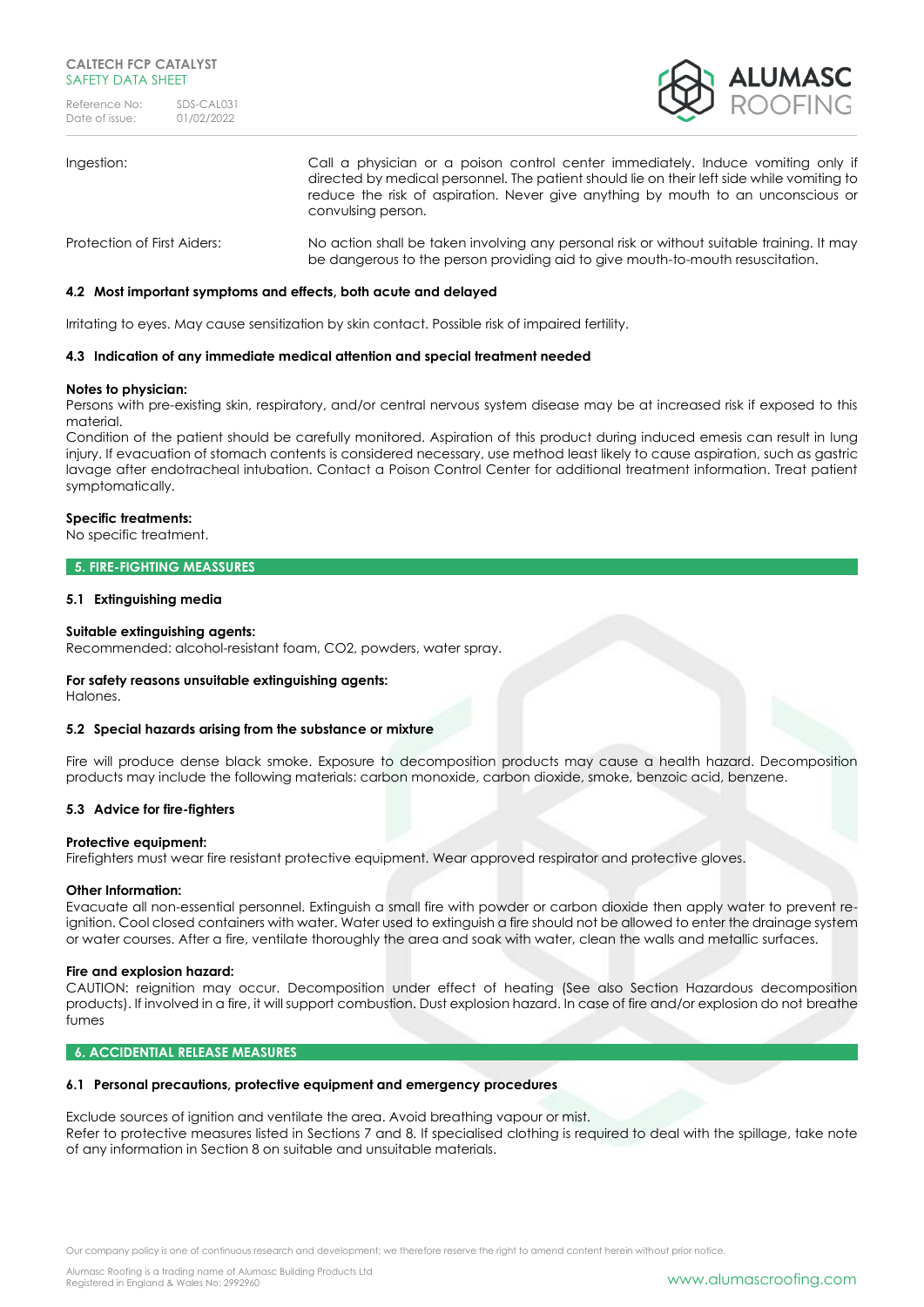

# Ingestion: Call a physician or a poison control center immediately. Induce vomiting only if directed by medical personnel. The patient should lie on their left side while vomiting to reduce the risk of aspiration. Never give anything by mouth to an unconscious or convulsing person. Protection of First Aiders: No action shall be taken involving any personal risk or without suitable training. It may be dangerous to the person providing aid to give mouth-to-mouth resuscitation.

## **4.2 Most important symptoms and effects, both acute and delayed**

Irritating to eyes. May cause sensitization by skin contact. Possible risk of impaired fertility.

### **4.3 Indication of any immediate medical attention and special treatment needed**

#### **Notes to physician:**

Persons with pre-existing skin, respiratory, and/or central nervous system disease may be at increased risk if exposed to this material.

Condition of the patient should be carefully monitored. Aspiration of this product during induced emesis can result in lung injury. If evacuation of stomach contents is considered necessary, use method least likely to cause aspiration, such as gastric lavage after endotracheal intubation. Contact a Poison Control Center for additional treatment information. Treat patient symptomatically.

### **Specific treatments:**

No specific treatment.

### **5. FIRE-FIGHTING MEASSURES**

#### **5.1 Extinguishing media**

#### **Suitable extinguishing agents:**

Recommended: alcohol-resistant foam, CO2, powders, water spray.

### **For safety reasons unsuitable extinguishing agents:**

Halones.

### **5.2 Special hazards arising from the substance or mixture**

Fire will produce dense black smoke. Exposure to decomposition products may cause a health hazard. Decomposition products may include the following materials: carbon monoxide, carbon dioxide, smoke, benzoic acid, benzene.

### **5.3 Advice for fire-fighters**

#### **Protective equipment:**

Firefighters must wear fire resistant protective equipment. Wear approved respirator and protective gloves.

#### **Other Information:**

Evacuate all non-essential personnel. Extinguish a small fire with powder or carbon dioxide then apply water to prevent reignition. Cool closed containers with water. Water used to extinguish a fire should not be allowed to enter the drainage system or water courses. After a fire, ventilate thoroughly the area and soak with water, clean the walls and metallic surfaces.

### **Fire and explosion hazard:**

CAUTION: reignition may occur. Decomposition under effect of heating (See also Section Hazardous decomposition products). If involved in a fire, it will support combustion. Dust explosion hazard. In case of fire and/or explosion do not breathe fumes

#### **6. ACCIDENTIAL RELEASE MEASURES**

#### **6.1 Personal precautions, protective equipment and emergency procedures**

Exclude sources of ignition and ventilate the area. Avoid breathing vapour or mist. Refer to protective measures listed in Sections 7 and 8. If specialised clothing is required to deal with the spillage, take note of any information in Section 8 on suitable and unsuitable materials.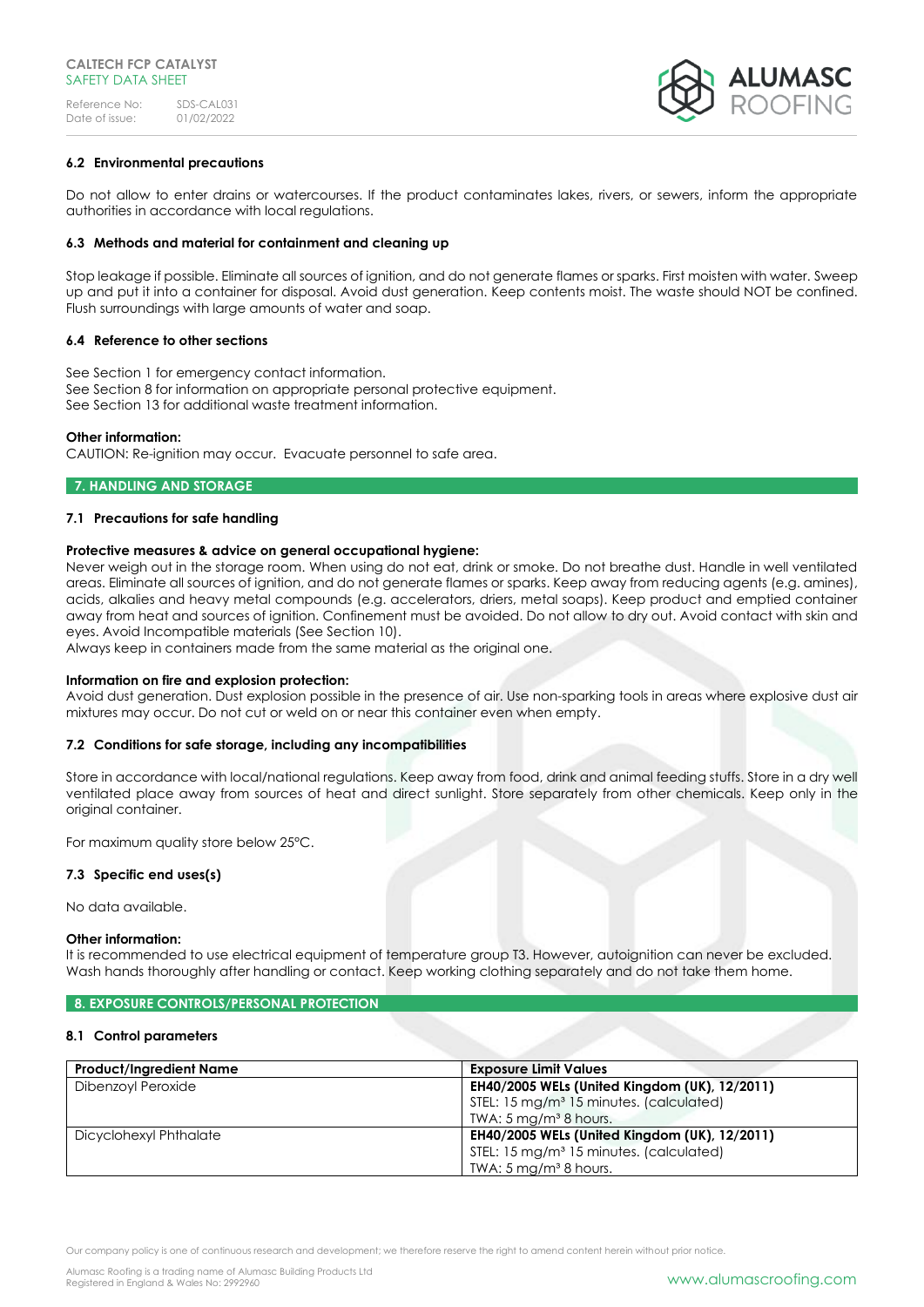

## **6.2 Environmental precautions**

Do not allow to enter drains or watercourses. If the product contaminates lakes, rivers, or sewers, inform the appropriate authorities in accordance with local regulations.

### **6.3 Methods and material for containment and cleaning up**

Stop leakage if possible. Eliminate all sources of ignition, and do not generate flames or sparks. First moisten with water. Sweep up and put it into a container for disposal. Avoid dust generation. Keep contents moist. The waste should NOT be confined. Flush surroundings with large amounts of water and soap.

### **6.4 Reference to other sections**

See Section 1 for emergency contact information. See Section 8 for information on appropriate personal protective equipment. See Section 13 for additional waste treatment information.

## **Other information:**

CAUTION: Re-ignition may occur. Evacuate personnel to safe area.

## **7. HANDLING AND STORAGE**

## **7.1 Precautions for safe handling**

## **Protective measures & advice on general occupational hygiene:**

Never weigh out in the storage room. When using do not eat, drink or smoke. Do not breathe dust. Handle in well ventilated areas. Eliminate all sources of ignition, and do not generate flames or sparks. Keep away from reducing agents (e.g. amines), acids, alkalies and heavy metal compounds (e.g. accelerators, driers, metal soaps). Keep product and emptied container away from heat and sources of ignition. Confinement must be avoided. Do not allow to dry out. Avoid contact with skin and eyes. Avoid Incompatible materials (See Section 10).

Always keep in containers made from the same material as the original one.

### **Information on fire and explosion protection:**

Avoid dust generation. Dust explosion possible in the presence of air. Use non-sparking tools in areas where explosive dust air mixtures may occur. Do not cut or weld on or near this container even when empty.

### **7.2 Conditions for safe storage, including any incompatibilities**

Store in accordance with local/national regulations. Keep away from food, drink and animal feeding stuffs. Store in a dry well ventilated place away from sources of heat and direct sunlight. Store separately from other chemicals. Keep only in the original container.

For maximum quality store below 25°C.

### **7.3 Specific end uses(s)**

No data available.

### **Other information:**

It is recommended to use electrical equipment of temperature group T3. However, autoignition can never be excluded. Wash hands thoroughly after handling or contact. Keep working clothing separately and do not take them home.

## **8. EXPOSURE CONTROLS/PERSONAL PROTECTION**

### **8.1 Control parameters**

| <b>Product/Ingredient Name</b> | <b>Exposure Limit Values</b>                        |
|--------------------------------|-----------------------------------------------------|
| Dibenzoyl Peroxide             | EH40/2005 WELs (United Kingdom (UK), 12/2011)       |
|                                | STEL: 15 mg/m <sup>3</sup> 15 minutes. (calculated) |
|                                | TWA: $5 \,\mathrm{mg/m^3}$ 8 hours.                 |
| Dicyclohexyl Phthalate         | EH40/2005 WELs (United Kingdom (UK), 12/2011)       |
|                                | STEL: 15 mg/m <sup>3</sup> 15 minutes. (calculated) |
|                                | TWA: 5 mg/m <sup>3</sup> 8 hours.                   |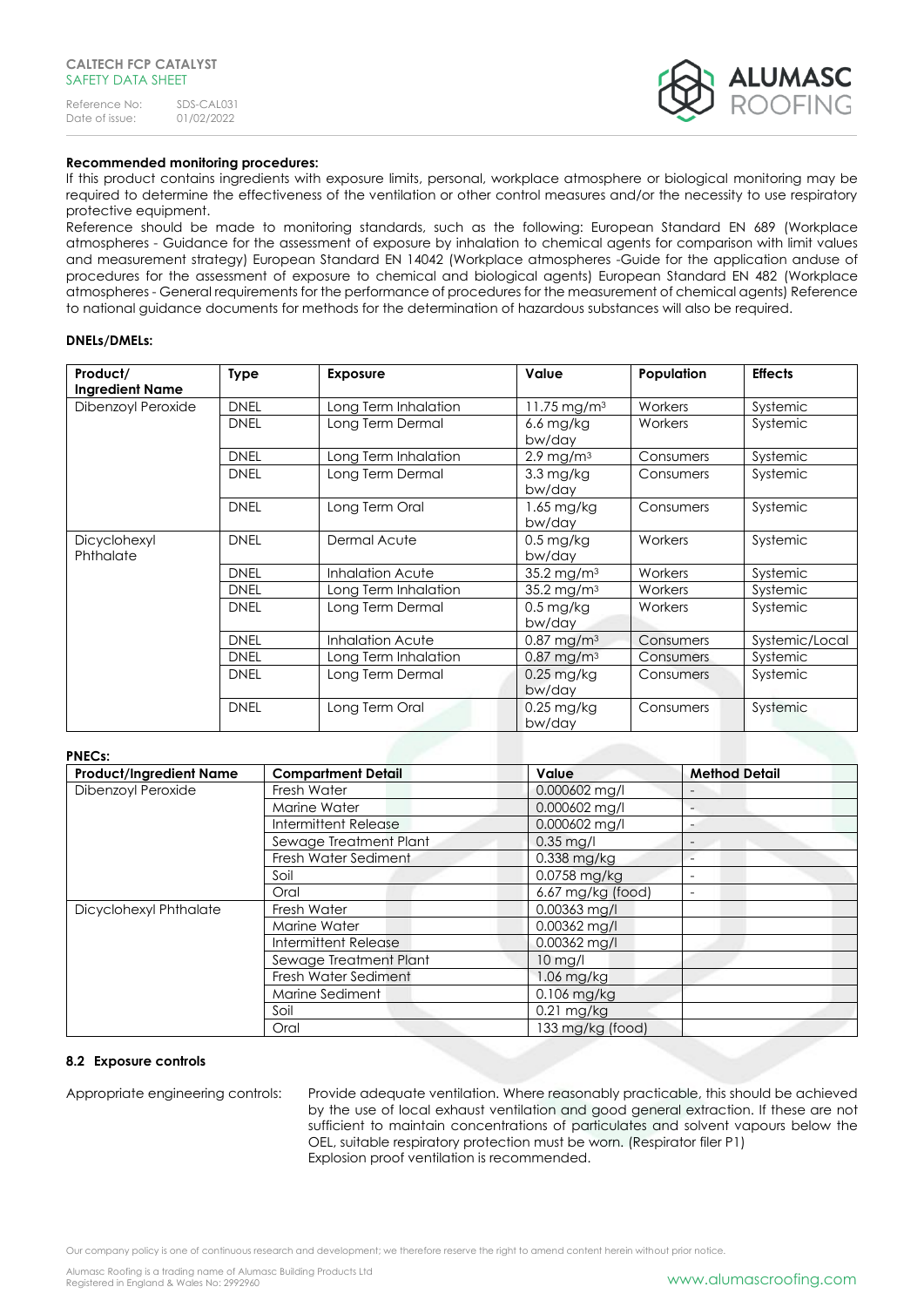

## **Recommended monitoring procedures:**

If this product contains ingredients with exposure limits, personal, workplace atmosphere or biological monitoring may be required to determine the effectiveness of the ventilation or other control measures and/or the necessity to use respiratory protective equipment.

Reference should be made to monitoring standards, such as the following: European Standard EN 689 (Workplace atmospheres - Guidance for the assessment of exposure by inhalation to chemical agents for comparison with limit values and measurement strategy) European Standard EN 14042 (Workplace atmospheres -Guide for the application anduse of procedures for the assessment of exposure to chemical and biological agents) European Standard EN 482 (Workplace atmospheres - General requirements for the performance of procedures for the measurement of chemical agents) Reference to national guidance documents for methods for the determination of hazardous substances will also be required.

### **DNELs/DMELs:**

| Product/<br><b>Ingredient Name</b> | <b>Type</b> | <b>Exposure</b>      | Value                            | Population | <b>Effects</b> |
|------------------------------------|-------------|----------------------|----------------------------------|------------|----------------|
| Dibenzoyl Peroxide                 | <b>DNEL</b> | Long Term Inhalation | 11.75 mg/m <sup>3</sup>          | Workers    | Systemic       |
|                                    | <b>DNEL</b> | Long Term Dermal     | $6.6$ mg/kg<br>bw/day            | Workers    | Systemic       |
|                                    | <b>DNEL</b> | Long Term Inhalation | $2.9 \,\mathrm{mg/m^3}$          | Consumers  | Systemic       |
|                                    | <b>DNEL</b> | Long Term Dermal     | $3.3 \,\mathrm{mg/kg}$<br>bw/day | Consumers  | Systemic       |
|                                    | <b>DNEL</b> | Long Term Oral       | $1.65$ mg/kg<br>bw/day           | Consumers  | Systemic       |
| Dicyclohexyl<br>Phthalate          | <b>DNEL</b> | Dermal Acute         | $0.5$ mg/kg<br>bw/day            | Workers    | Systemic       |
|                                    | <b>DNEL</b> | Inhalation Acute     | 35.2 mg/m <sup>3</sup>           | Workers    | Systemic       |
|                                    | <b>DNEL</b> | Long Term Inhalation | $35.2 \,\mathrm{mg/m^3}$         | Workers    | Systemic       |
|                                    | <b>DNEL</b> | Long Term Dermal     | $0.5$ mg/kg<br>bw/day            | Workers    | Systemic       |
|                                    | <b>DNEL</b> | Inhalation Acute     | $0.87 \,\mathrm{mg/m^3}$         | Consumers  | Systemic/Local |
|                                    | <b>DNEL</b> | Long Term Inhalation | $0.87$ mg/m <sup>3</sup>         | Consumers  | Systemic       |
|                                    | <b>DNEL</b> | Long Term Dermal     | $0.25$ mg/kg<br>bw/day           | Consumers  | Systemic       |
|                                    | <b>DNEL</b> | Long Term Oral       | $0.25$ mg/kg<br>bw/day           | Consumers  | Systemic       |

## **PNECs:**

| <b>Product/Ingredient Name</b> | <b>Compartment Detail</b> | Value             | <b>Method Detail</b> |
|--------------------------------|---------------------------|-------------------|----------------------|
| Dibenzoyl Peroxide             | Fresh Water               | $0.000602$ mg/l   |                      |
|                                | Marine Water              | 0.000602 mg/l     |                      |
|                                | Intermittent Release      | $0.000602$ mg/l   |                      |
|                                | Sewage Treatment Plant    | $0.35$ mg/l       |                      |
|                                | Fresh Water Sediment      | $0.338$ mg/kg     |                      |
|                                | Soil                      | $0.0758$ mg/kg    |                      |
|                                | Oral                      | 6.67 mg/kg (food) |                      |
| Dicyclohexyl Phthalate         | Fresh Water               | 0.00363 mg/l      |                      |
|                                | Marine Water              | $0.00362$ mg/l    |                      |
|                                | Intermittent Release      | $0.00362$ mg/l    |                      |
|                                | Sewage Treatment Plant    | $10$ mg/l         |                      |
|                                | Fresh Water Sediment      | $1.06$ mg/kg      |                      |
|                                | Marine Sediment           | $0.106$ mg/kg     |                      |
|                                | Soil                      | 0.21 mg/kg        |                      |
|                                | Oral                      | 133 mg/kg (food)  |                      |

### **8.2 Exposure controls**

Appropriate engineering controls: Provide adequate ventilation. Where reasonably practicable, this should be achieved by the use of local exhaust ventilation and good general extraction. If these are not sufficient to maintain concentrations of particulates and solvent vapours below the OEL, suitable respiratory protection must be worn. (Respirator filer P1) Explosion proof ventilation is recommended.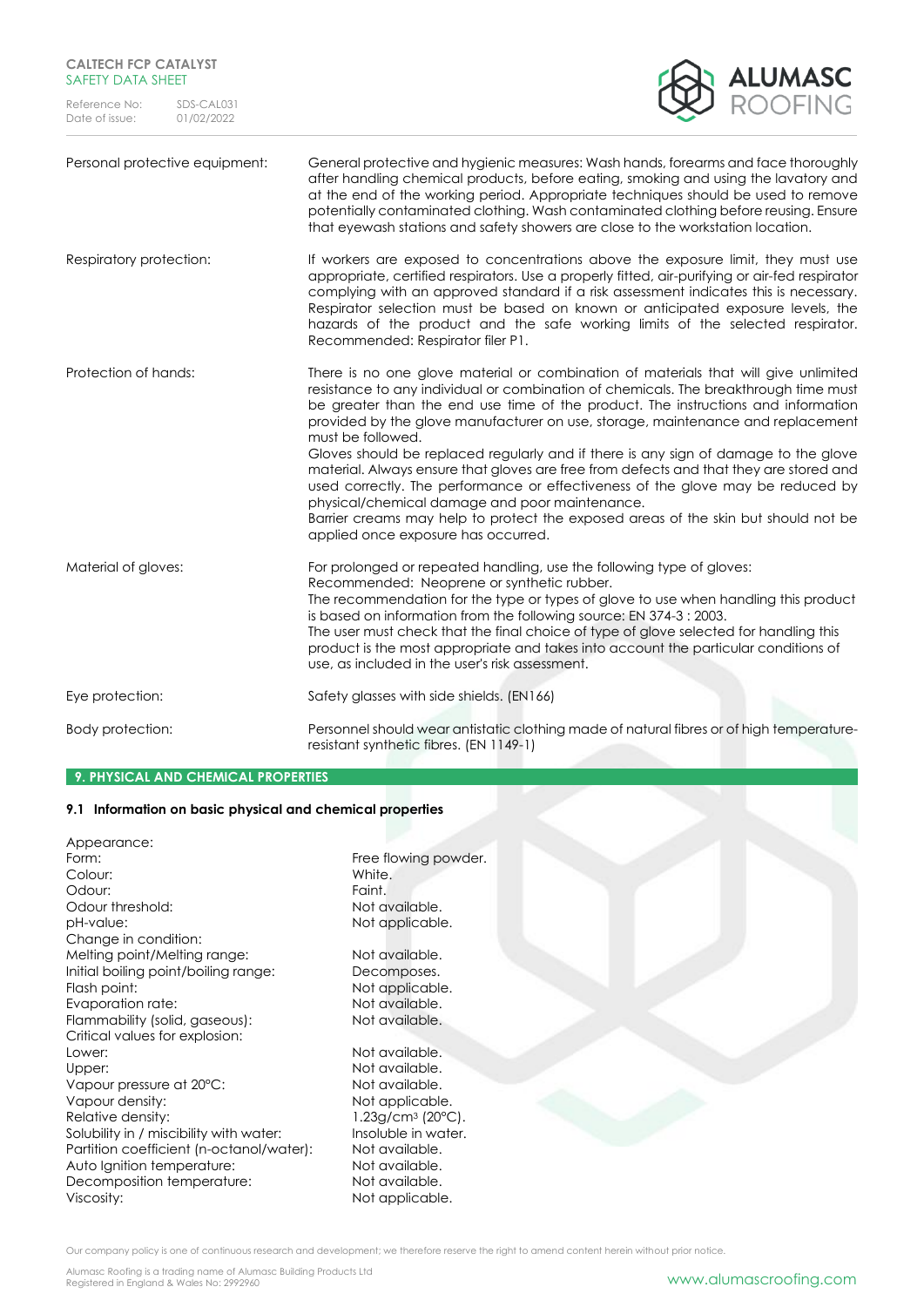## **CALTECH FCP CATALYST** SAFETY DATA SHEET

Reference No: SDS-CAL031<br>Date of issue: 01/02/2022 Date of issue:



| Personal protective equipment: | General protective and hygienic measures: Wash hands, forearms and face thoroughly<br>after handling chemical products, before eating, smoking and using the lavatory and<br>at the end of the working period. Appropriate techniques should be used to remove<br>potentially contaminated clothing. Wash contaminated clothing before reusing. Ensure<br>that eyewash stations and safety showers are close to the workstation location.                                                                                                                                                                                                                                                                                                                                                                                   |
|--------------------------------|-----------------------------------------------------------------------------------------------------------------------------------------------------------------------------------------------------------------------------------------------------------------------------------------------------------------------------------------------------------------------------------------------------------------------------------------------------------------------------------------------------------------------------------------------------------------------------------------------------------------------------------------------------------------------------------------------------------------------------------------------------------------------------------------------------------------------------|
| Respiratory protection:        | If workers are exposed to concentrations above the exposure limit, they must use<br>appropriate, certified respirators. Use a properly fitted, air-purifying or air-fed respirator<br>complying with an approved standard if a risk assessment indicates this is necessary.<br>Respirator selection must be based on known or anticipated exposure levels, the<br>hazards of the product and the safe working limits of the selected respirator.<br>Recommended: Respirator filer P1.                                                                                                                                                                                                                                                                                                                                       |
| Protection of hands:           | There is no one glove material or combination of materials that will give unlimited<br>resistance to any individual or combination of chemicals. The breakthrough time must<br>be greater than the end use time of the product. The instructions and information<br>provided by the glove manufacturer on use, storage, maintenance and replacement<br>must be followed.<br>Gloves should be replaced regularly and if there is any sign of damage to the glove<br>material. Always ensure that gloves are free from defects and that they are stored and<br>used correctly. The performance or effectiveness of the glove may be reduced by<br>physical/chemical damage and poor maintenance.<br>Barrier creams may help to protect the exposed areas of the skin but should not be<br>applied once exposure has occurred. |
| Material of gloves:            | For prolonged or repeated handling, use the following type of gloves:<br>Recommended: Neoprene or synthetic rubber.<br>The recommendation for the type or types of glove to use when handling this product<br>is based on information from the following source: EN 374-3 : 2003.<br>The user must check that the final choice of type of glove selected for handling this<br>product is the most appropriate and takes into account the particular conditions of<br>use, as included in the user's risk assessment.                                                                                                                                                                                                                                                                                                        |
| Eye protection:                | Safety glasses with side shields. (EN166)                                                                                                                                                                                                                                                                                                                                                                                                                                                                                                                                                                                                                                                                                                                                                                                   |
| Body protection:               | Personnel should wear antistatic clothing made of natural fibres or of high temperature-<br>resistant synthetic fibres. (EN 1149-1)                                                                                                                                                                                                                                                                                                                                                                                                                                                                                                                                                                                                                                                                                         |

## **9. PHYSICAL AND CHEMICAL PROPERTIES**

## **9.1 Information on basic physical and chemical properties**

| Appearance:                              |                                |
|------------------------------------------|--------------------------------|
| Form:                                    | Free flowing powder.           |
| Colour:                                  | White.                         |
| Odour:                                   | Faint.                         |
| Odour threshold:                         | Not available.                 |
| pH-value:                                | Not applicable.                |
| Change in condition:                     |                                |
| Melting point/Melting range:             | Not available.                 |
| Initial boiling point/boiling range:     | Decomposes.                    |
| Flash point:                             | Not applicable.                |
| Evaporation rate:                        | Not available.                 |
| Flammability (solid, gaseous):           | Not available.                 |
| Critical values for explosion:           |                                |
| Lower:                                   | Not available.                 |
| Upper:                                   | Not available.                 |
| Vapour pressure at 20°C:                 | Not available.                 |
| Vapour density:                          | Not applicable.                |
| Relative density:                        | $1.23g/cm3$ (20 $^{\circ}$ C). |
| Solubility in / miscibility with water:  | Insoluble in water.            |
| Partition coefficient (n-octanol/water): | Not available.                 |
| Auto Ignition temperature:               | Not available.                 |
| Decomposition temperature:               | Not available.                 |
|                                          |                                |
|                                          |                                |
| Viscosity:                               | Not applicable.                |

Our company policy is one of continuous research and development; we therefore reserve the right to amend content herein without prior notice.

Alumasc Roofing is a trading name of Alumasc Building Products Ltd<br>Registered in England & Wales No: 2992960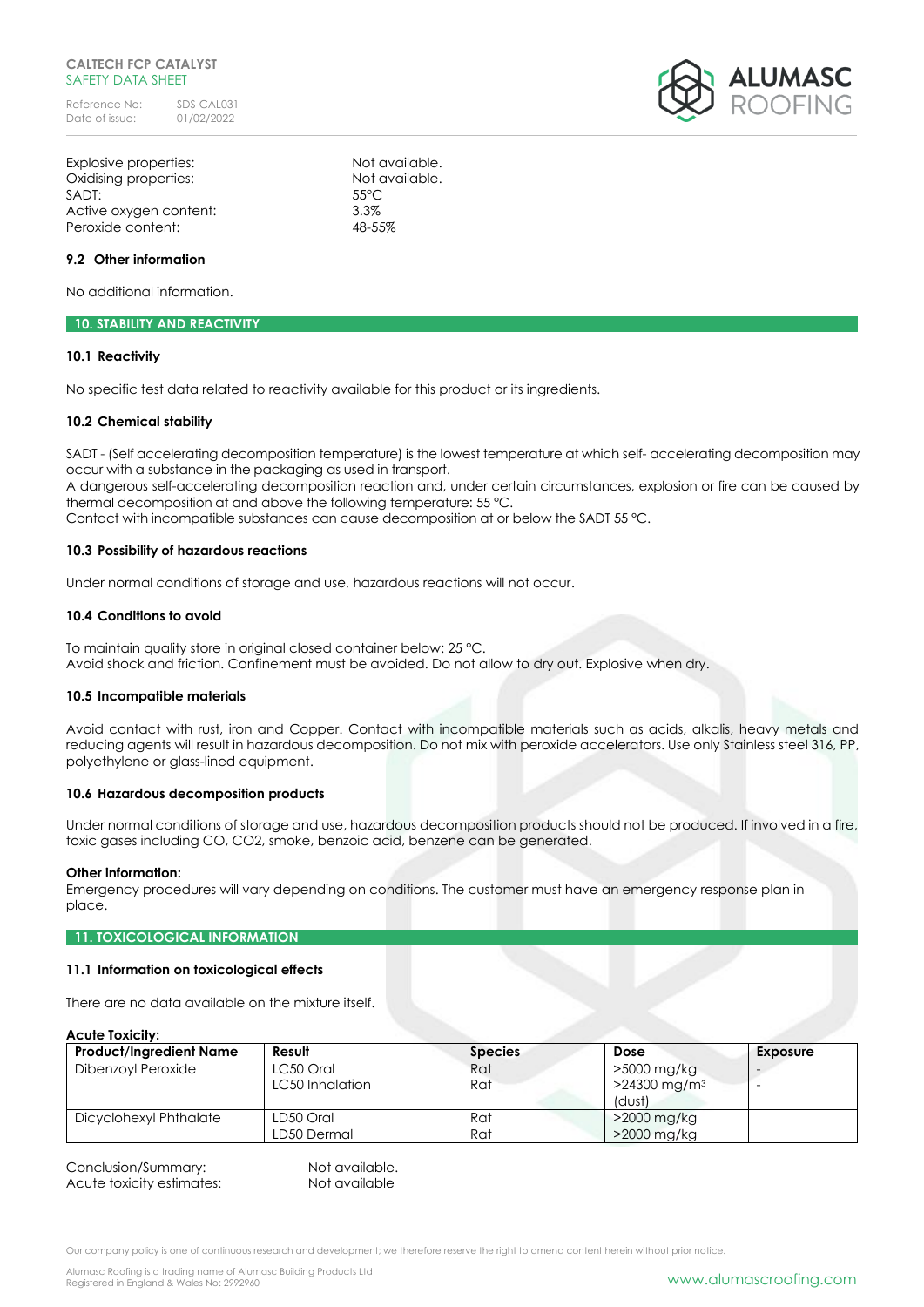### **CALTECH FCP CATALYST** SAFETY DATA SHEET

Reference No: SDS-CAL031<br>Date of issue: 01/02/2022 Date of issue:

Explosive properties: Not available. Oxidising properties: Not available. SADT: 55°C Active oxygen content: 3.3% Peroxide content: 48-55%

### **9.2 Other information**

No additional information.

## **10. STABILITY AND REACTIVITY**

### **10.1 Reactivity**

No specific test data related to reactivity available for this product or its ingredients.

#### **10.2 Chemical stability**

SADT - (Self accelerating decomposition temperature) is the lowest temperature at which self- accelerating decomposition may occur with a substance in the packaging as used in transport.

A dangerous self-accelerating decomposition reaction and, under certain circumstances, explosion or fire can be caused by thermal decomposition at and above the following temperature: 55 °C.

Contact with incompatible substances can cause decomposition at or below the SADT 55 °C.

#### **10.3 Possibility of hazardous reactions**

Under normal conditions of storage and use, hazardous reactions will not occur.

#### **10.4 Conditions to avoid**

To maintain quality store in original closed container below: 25 °C. Avoid shock and friction. Confinement must be avoided. Do not allow to dry out. Explosive when dry.

#### **10.5 Incompatible materials**

Avoid contact with rust, iron and Copper. Contact with incompatible materials such as acids, alkalis, heavy metals and reducing agents will result in hazardous decomposition. Do not mix with peroxide accelerators. Use only Stainless steel 316, PP, polyethylene or glass-lined equipment.

#### **10.6 Hazardous decomposition products**

Under normal conditions of storage and use, hazardous decomposition products should not be produced. If involved in a fire, toxic gases including CO, CO2, smoke, benzoic acid, benzene can be generated.

#### **Other information:**

Emergency procedures will vary depending on conditions. The customer must have an emergency response plan in place.

#### **11. TOXICOLOGICAL INFORMATION**

#### **11.1 Information on toxicological effects**

There are no data available on the mixture itself.

### **Acute Toxicity:**

| ASSIS ISAISII Y.               |                 |                |                            |          |
|--------------------------------|-----------------|----------------|----------------------------|----------|
| <b>Product/Ingredient Name</b> | Result          | <b>Species</b> | Dose                       | Exposure |
| Dibenzoyl Peroxide             | LC50 Oral       | Rat            | >5000 mg/kg                |          |
|                                | LC50 Inhalation | Rat            | $>24300$ mg/m <sup>3</sup> |          |
|                                |                 |                | (dust)                     |          |
| Dicyclohexyl Phthalate         | LD50 Oral       | Rat            | $>$ 2000 mg/kg             |          |
|                                | LD50 Dermal     | Rat            | >2000 mg/kg                |          |

| Conclusion/Summary:       | Not available. |
|---------------------------|----------------|
| Acute toxicity estimates: | Not available  |

Our company policy is one of continuous research and development; we therefore reserve the right to amend content herein without prior notice.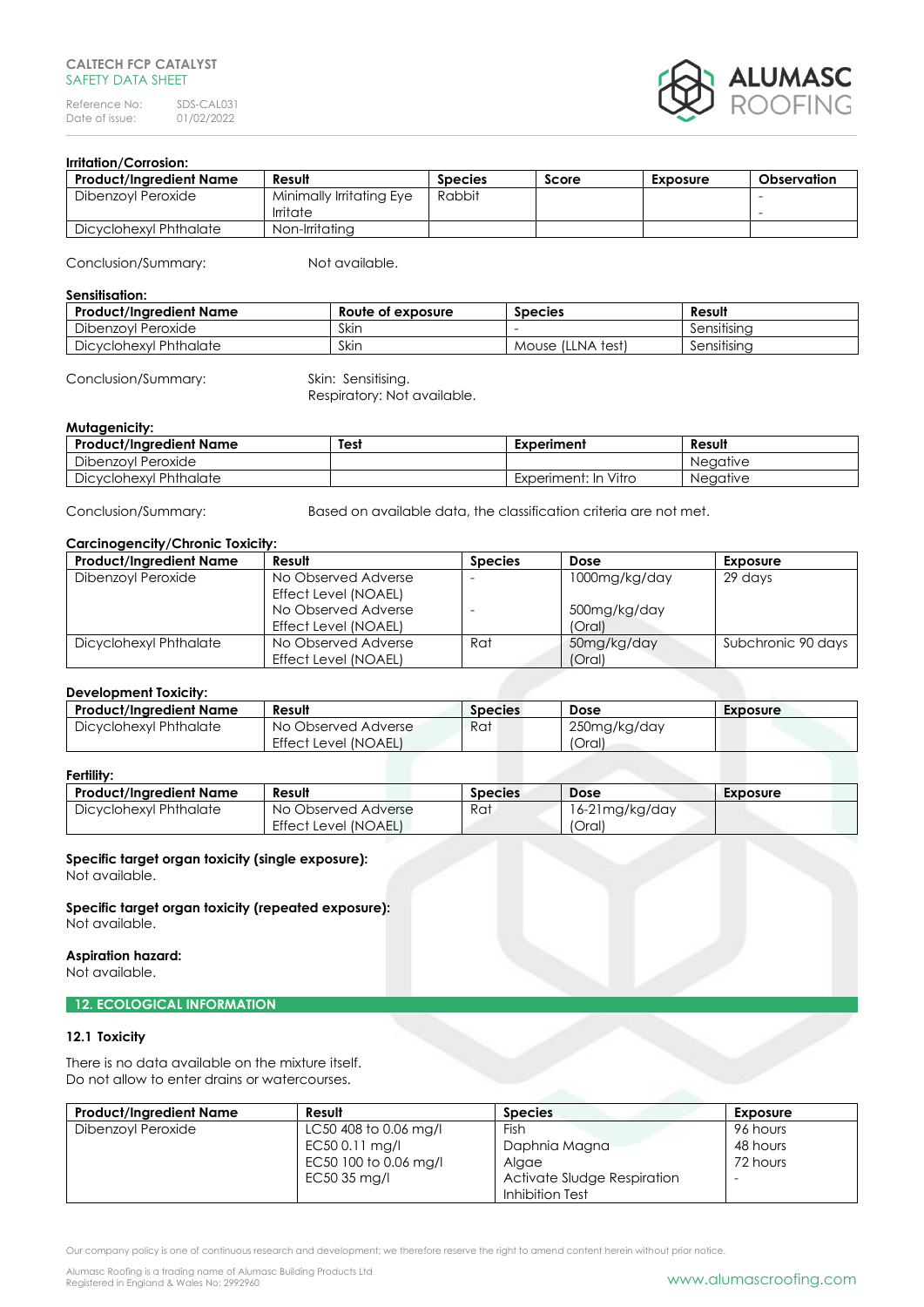### **CALTECH FCP CATALYST** SAFFTY DATA SHFFT

Reference No: SDS-CAL031<br>Date of issue: 01/02/2022 Date of issue:



# **Irritation/Corrosion:**

| Product/Inaredient Name | Result                   | <b>Species</b> | Score | Exposure | Observation |
|-------------------------|--------------------------|----------------|-------|----------|-------------|
| Dibenzoyl Peroxide      | Minimally Irritating Eye | Rabbit         |       |          |             |
|                         | Irritate                 |                |       |          |             |
| Dicyclohexyl Phthalate  | Non-Irritatina           |                |       |          |             |

Conclusion/Summary: Not available.

#### **Sensitisation:**

| <b>Product/Ingredient Name</b> | Route of exposure | <b>Species</b>      | Result                  |
|--------------------------------|-------------------|---------------------|-------------------------|
| Peroxide<br>Dibenzovi          | Skin              |                     | $\cdots$<br>Sensitisina |
| Dicyclohexyl Phthalate         | Skin              | Mouse (LLNA<br>test | $\cdots$<br>Sensitisina |

### Conclusion/Summary: Skin: Sensitising.

Respiratory: Not available.

## **Mutagenicity:**

| <b>Product/Ingredient Name</b> | Test | Experiment           | Result          |
|--------------------------------|------|----------------------|-----------------|
| Dibenzovl Peroxide             |      |                      | <b>Neaative</b> |
| Dicyclohexyl Phthalate         |      | Experiment: In Vitro | <b>Neaative</b> |

Conclusion/Summary: Based on available data, the classification criteria are not met.

## **Carcinogencity/Chronic Toxicity:**

| <b>Product/Ingredient Name</b> | Result               | <b>Species</b> | Dose          | <b>Exposure</b>    |
|--------------------------------|----------------------|----------------|---------------|--------------------|
| Dibenzoyl Peroxide             | No Observed Adverse  | <b>1</b>       | 1000mg/kg/day | 29 days            |
|                                | Effect Level (NOAEL) |                |               |                    |
|                                | No Observed Adverse  |                | 500mg/kg/day  |                    |
|                                | Effect Level (NOAEL) |                | (Oral)        |                    |
| Dicyclohexyl Phthalate         | No Observed Adverse  | Rat            | 50mg/kg/day   | Subchronic 90 days |
|                                | Effect Level (NOAEL) |                | (Oral)        |                    |

### **Development Toxicity:**

| <b>Product/Ingredient Name</b> | Result                      | Species | Dose         | Exposure |
|--------------------------------|-----------------------------|---------|--------------|----------|
| Dicyclohexyl Phthalate         | No Observed Adverse         | Rat     | 250mg/kg/day |          |
|                                | <b>Effect Level (NOAEL)</b> |         | 'Oral)       |          |

### **Fertility:**

| .                       |                             |                |                 |          |  |
|-------------------------|-----------------------------|----------------|-----------------|----------|--|
| Product/Inaredient Name | Result                      | <b>Species</b> | <b>Dose</b>     | Exposure |  |
| Dicyclohexyl Phthalate  | No Observed Adverse         | Rat            | 16-21 mg/kg/day |          |  |
|                         | <b>Effect Level (NOAEL)</b> |                | (Oral)          |          |  |

## **Specific target organ toxicity (single exposure):**

Not available.

**Specific target organ toxicity (repeated exposure):** Not available.

## **Aspiration hazard:**

Not available.

## **12. ECOLOGICAL INFORMATION**

### **12.1 Toxicity**

There is no data available on the mixture itself. Do not allow to enter drains or watercourses.

| <b>Product/Ingredient Name</b> | Result                | <b>Species</b>              | Exposure                 |
|--------------------------------|-----------------------|-----------------------------|--------------------------|
| Dibenzoyl Peroxide             | LC50 408 to 0.06 mg/l | Fish                        | 96 hours                 |
|                                | EC50 0.11 mg/l        | Daphnia Magna               | 48 hours                 |
|                                | EC50 100 to 0.06 mg/l | Algae                       | 72 hours                 |
|                                | EC50 35 mg/l          | Activate Sludge Respiration | $\overline{\phantom{a}}$ |
|                                |                       | Inhibition Test             |                          |

Our company policy is one of continuous research and development; we therefore reserve the right to amend content herein without prior notice.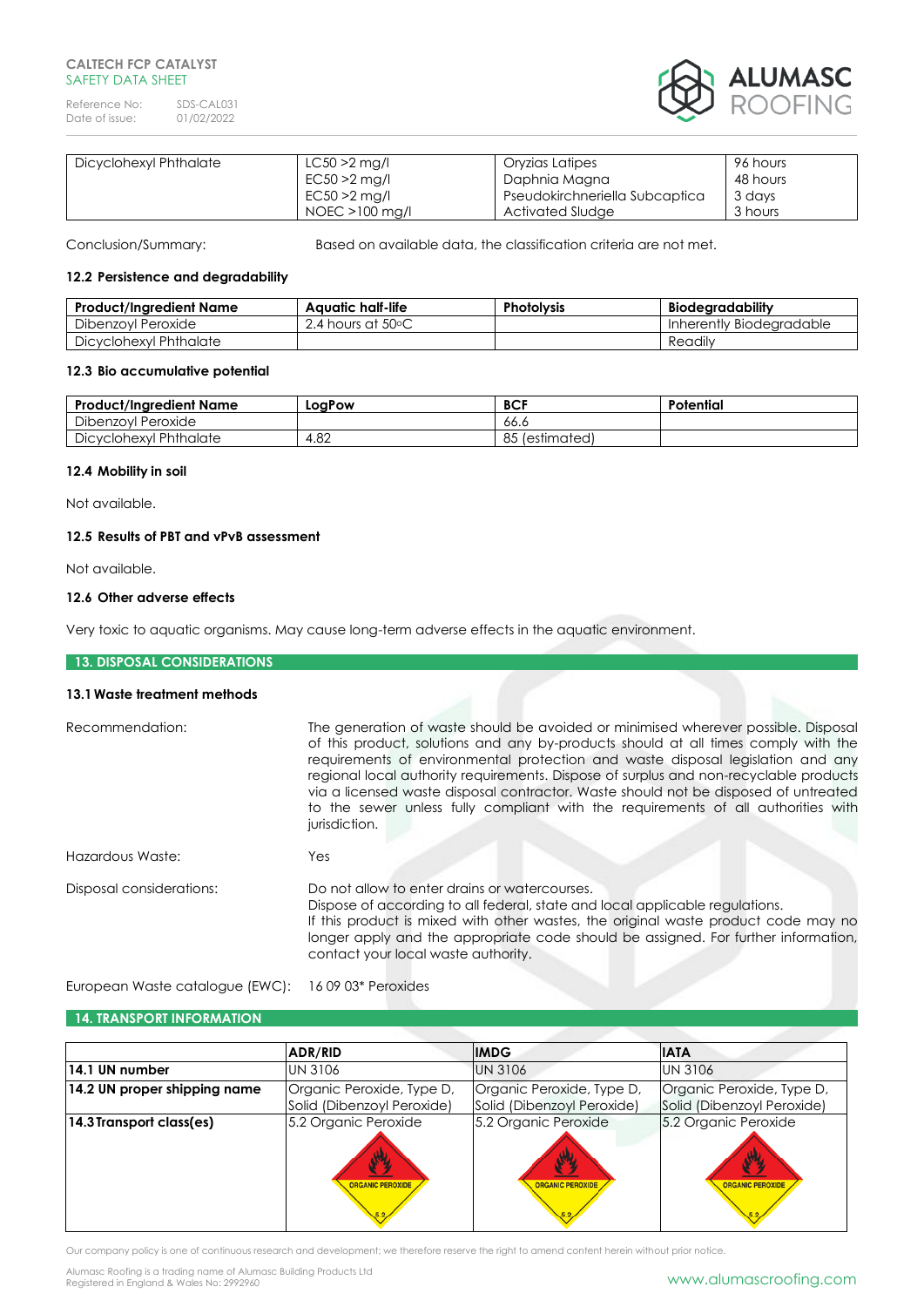## **CALTECH FCP CATALYST** SAFFTY DATA SHFFT

Reference No: SDS-CAL031<br>Date of issue: 01/02/2022 Date of issue:



| Dicyclohexyl Phthalate | $LC50 > 2$ mg/l | Oryzias Latipes                | 96 hours |
|------------------------|-----------------|--------------------------------|----------|
|                        | $EC50 > 2$ mg/l | Daphnia Magna                  | 48 hours |
|                        | $EC50 > 2$ mg/l | Pseudokirchneriella Subcaptica | 3 days   |
|                        | NOEC >100 mg/l  | Activated Sludge               | 3 hours  |

Conclusion/Summary: Based on available data, the classification criteria are not met.

## **12.2 Persistence and degradability**

| Product/Ingredient Name | Aauatic half-life               | <b>Photolysis</b> | <b>Biodearadability</b>  |
|-------------------------|---------------------------------|-------------------|--------------------------|
| Dibenzovl Peroxide      | 2.4 hours at 50 $\rm ^{\circ}C$ |                   | Inherently Biodearadable |
| Dicyclohexyl Phthalate  |                                 |                   | Readily                  |

### **12.3 Bio accumulative potential**

| <b>Product/Ingredient Name</b> | LoaPow | <b>BCF</b>         | Potential |
|--------------------------------|--------|--------------------|-----------|
| Dibenzovl<br>Peroxide          |        | .66.c              |           |
| Dicyclohexyl Phthalate         | 4.82   | O E<br>(estimated) |           |

## **12.4 Mobility in soil**

Not available.

## **12.5 Results of PBT and vPvB assessment**

Not available.

## **12.6 Other adverse effects**

Very toxic to aquatic organisms. May cause long-term adverse effects in the aquatic environment.

# **13. DISPOSAL CONSIDERATIONS**

## **13.1Waste treatment methods**

| Recommendation:          | The generation of waste should be avoided or minimised wherever possible. Disposal<br>of this product, solutions and any by-products should at all times comply with the<br>requirements of environmental protection and waste disposal legislation and any<br>regional local authority requirements. Dispose of surplus and non-recyclable products<br>via a licensed waste disposal contractor. Waste should not be disposed of untreated<br>to the sewer unless fully compliant with the requirements of all authorities with<br>jurisdiction. |
|--------------------------|---------------------------------------------------------------------------------------------------------------------------------------------------------------------------------------------------------------------------------------------------------------------------------------------------------------------------------------------------------------------------------------------------------------------------------------------------------------------------------------------------------------------------------------------------|
| Hazardous Waste:         | Yes                                                                                                                                                                                                                                                                                                                                                                                                                                                                                                                                               |
| Disposal considerations: | Do not allow to enter drains or watercourses.<br>Dispose of according to all federal, state and local applicable regulations.<br>If this product is mixed with other wastes, the original waste product code may no<br>longer apply and the appropriate code should be assigned. For further information,<br>contact your local waste authority.                                                                                                                                                                                                  |

European Waste catalogue (EWC): 16 09 03\* Peroxides

# **14. TRANSPORT INFORMATION**

|                              | ADR/RID                                                 | <b>IMDG</b>                                             | <b>IATA</b>                                             |
|------------------------------|---------------------------------------------------------|---------------------------------------------------------|---------------------------------------------------------|
| 14.1 UN number               | <b>UN 3106</b>                                          | <b>UN 3106</b>                                          | <b>UN 3106</b>                                          |
| 14.2 UN proper shipping name | Organic Peroxide, Type D,<br>Solid (Dibenzoyl Peroxide) | Organic Peroxide, Type D,<br>Solid (Dibenzoyl Peroxide) | Organic Peroxide, Type D,<br>Solid (Dibenzoyl Peroxide) |
| 14.3 Transport class(es)     | 5.2 Organic Peroxide<br><b>ORGANIC PEROXIDE</b>         | 5.2 Organic Peroxide<br>炒<br><b>ORGANIC PEROXIDE</b>    | 5.2 Organic Peroxide<br>业<br><b>ORGANIC PEROXIDE</b>    |

Our company policy is one of continuous research and development; we therefore reserve the right to amend content herein without prior notice.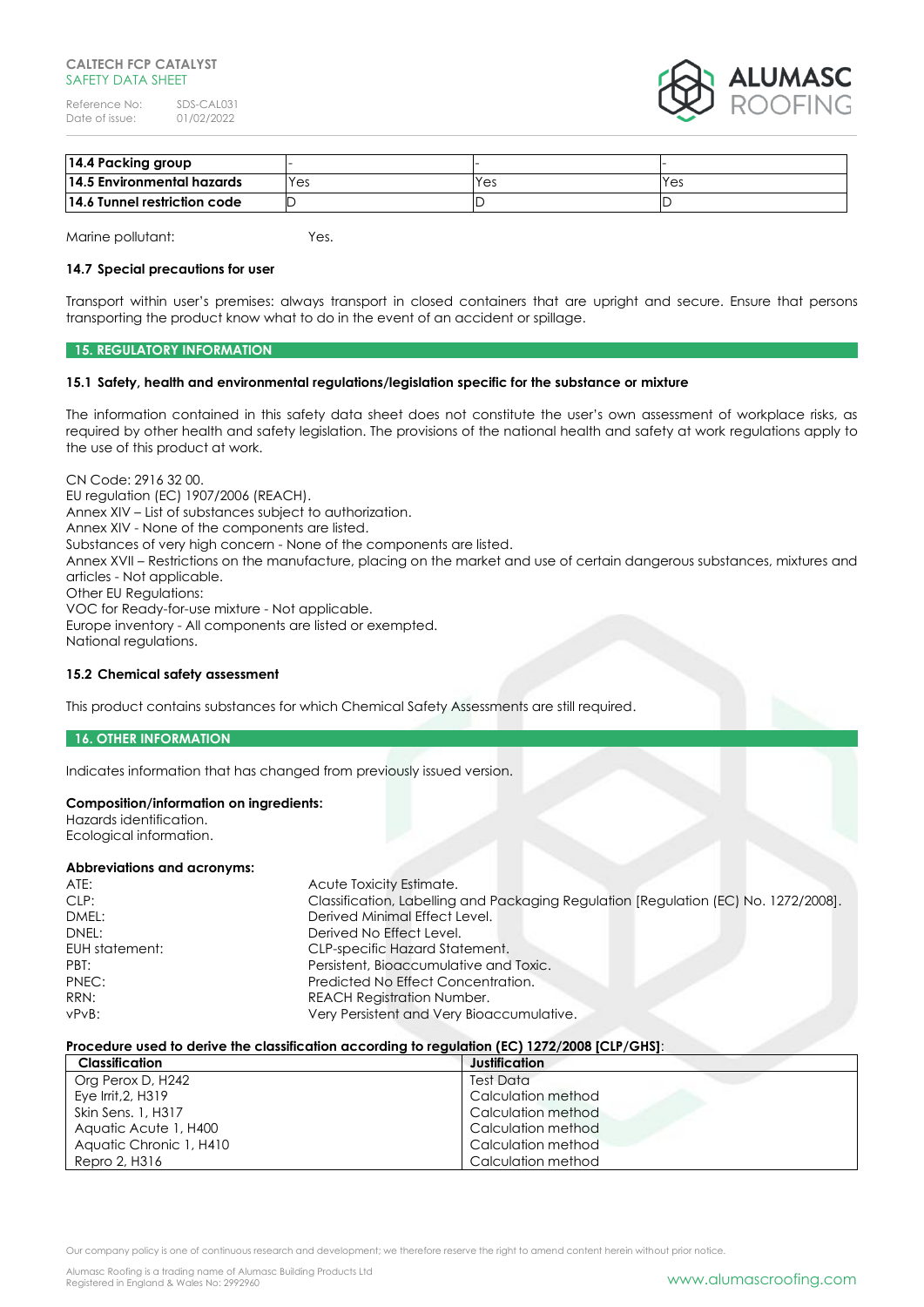### **CALTECH FCP CATALYST** SAFFTY DATA SHFFT

Reference No: SDS-CAL031<br>Date of issue: 01/02/2022 Date of issue:



| 14.4 Packing group           |     |     |     |
|------------------------------|-----|-----|-----|
| 14.5 Environmental hazards   | Yes | Yes | Yes |
| 14.6 Tunnel restriction code |     |     |     |

Marine pollutant: Yes.

#### **14.7 Special precautions for user**

Transport within user's premises: always transport in closed containers that are upright and secure. Ensure that persons transporting the product know what to do in the event of an accident or spillage.

## **15. REGULATORY INFORMATION**

#### **15.1 Safety, health and environmental regulations/legislation specific for the substance or mixture**

The information contained in this safety data sheet does not constitute the user's own assessment of workplace risks, as required by other health and safety legislation. The provisions of the national health and safety at work regulations apply to the use of this product at work.

CN Code: 2916 32 00. EU regulation (EC) 1907/2006 (REACH). Annex XIV – List of substances subject to authorization. Annex XIV - None of the components are listed. Substances of very high concern - None of the components are listed. Annex XVII – Restrictions on the manufacture, placing on the market and use of certain dangerous substances, mixtures and articles - Not applicable. Other EU Regulations: VOC for Ready-for-use mixture - Not applicable. Europe inventory - All components are listed or exempted. National regulations.

### **15.2 Chemical safety assessment**

This product contains substances for which Chemical Safety Assessments are still required.

#### **16. OTHER INFORMATION**

Indicates information that has changed from previously issued version.

### **Composition/information on ingredients:**

Hazards identification. Ecological information.

#### **Abbreviations and acronyms:**

| ATE:           | Acute Toxicity Estimate.                                                            |
|----------------|-------------------------------------------------------------------------------------|
| CLP:           | Classification, Labelling and Packaging Regulation [Regulation (EC) No. 1272/2008]. |
| DMEL:          | Derived Minimal Effect Level.                                                       |
| DNEL:          | Derived No Effect Level.                                                            |
| EUH statement: | <b>CLP-specific Hazard Statement.</b>                                               |
| PBT:           | Persistent, Bioaccumulative and Toxic.                                              |
| PNEC:          | Predicted No Effect Concentration.                                                  |
| RRN:           | <b>REACH Registration Number.</b>                                                   |
| $vPvB$ :       | Very Persistent and Very Bioaccumulative.                                           |

#### **Procedure used to derive the classification according to regulation (EC) 1272/2008 [CLP/GHS]**:

| Classification          | Justification      |
|-------------------------|--------------------|
| Org Perox D, H242       | Test Data          |
| Eye Irrit, 2, H319      | Calculation method |
| Skin Sens. 1, H317      | Calculation method |
| Aquatic Acute 1, H400   | Calculation method |
| Aquatic Chronic 1, H410 | Calculation method |
| Repro 2, H316           | Calculation method |